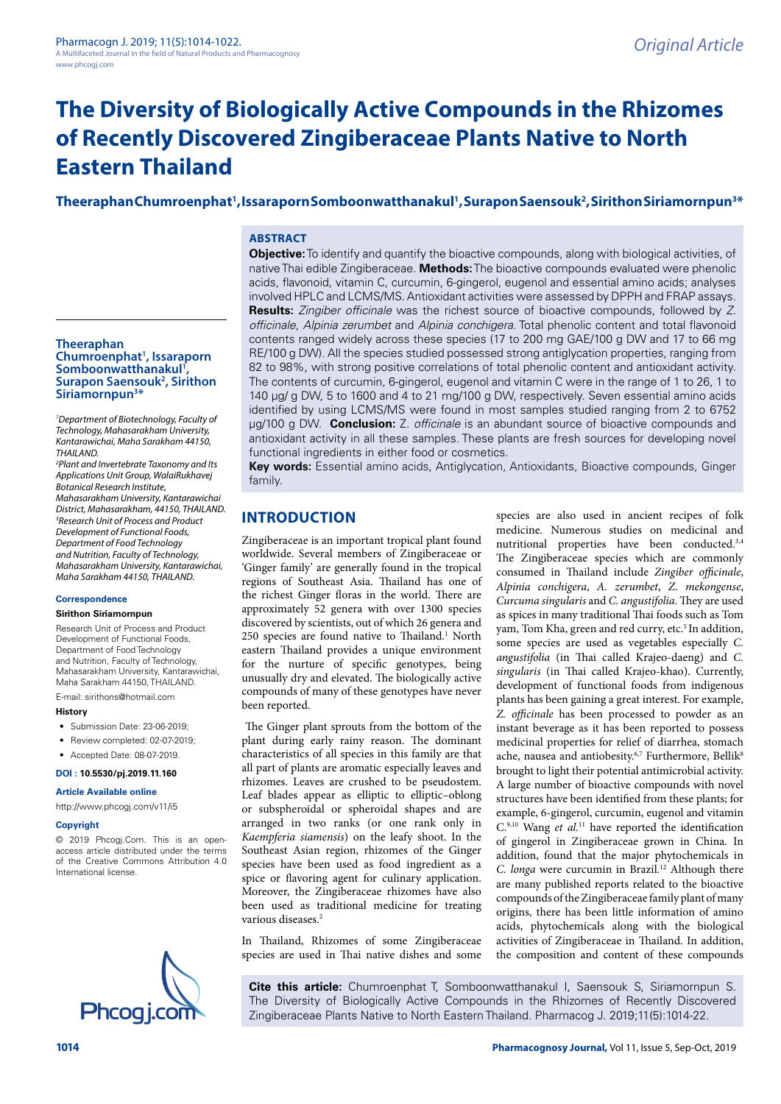# **The Diversity of Biologically Active Compounds in the Rhizomes of Recently Discovered Zingiberaceae Plants Native to North Eastern Thailand**

# **Theeraphan Chumroenphat1 , Issaraporn Somboonwatthanakul1 , Surapon Saensouk2 , Sirithon Siriamornpun3 \***

## **ABSTRACT**

**Theeraphan Chumroenphat1 , Issaraporn**  Somboonwatthanakul<sup>1</sup>,<br>Surapon Saensouk<sup>2</sup>, Sirit **Surapon Saensouk<sup>2</sup>, Sirithon Siriamornpun3 \***

*1 Department of Biotechnology, Faculty of Technology, Mahasarakham University, Kantarawichai, Maha Sarakham 44150, THAILAND.*

*2 Plant and Invertebrate Taxonomy and Its Applications Unit Group, WalaiRukhavej Botanical Research Institute, Mahasarakham University, Kantarawichai District, Mahasarakham, 44150, THAILAND. 3 Research Unit of Process and Product Development of Functional Foods, Department of Food Technology and Nutrition, Faculty of Technology, Mahasarakham University, Kantarawichai, Maha Sarakham 44150, THAILAND.*

# **Correspondence**

**Sirithon Siriamornpun**

Research Unit of Process and Product Development of Functional Foods, Department of Food Technology and Nutrition, Faculty of Technology, Mahasarakham University, Kantarawichai, Maha Sarakham 44150, THAILAND. E-mail: sirithons@hotmail.com

**History**

- Submission Date: 23-06-2019:
- Review completed: 02-07-2019;
- Accepted Date: 08-07-2019.

**DOI : 10.5530/pj.2019.11.160**

**Article Available online** 

[http://www.phcogj.com/v11/i](http://www.phcogj.com/v11/i3)5

#### **Copyright**

© 2019 Phcogj.Com. This is an openaccess article distributed under the terms of the Creative Commons Attribution 4.0 International license.



**Objective:** To identify and quantify the bioactive compounds, along with biological activities, of native Thai edible Zingiberaceae. **Methods:** The bioactive compounds evaluated were phenolic acids, flavonoid, vitamin C, curcumin, 6-gingerol, eugenol and essential amino acids; analyses involved HPLC and LCMS/MS. Antioxidant activities were assessed by DPPH and FRAP assays. **Results:** *Zingiber officinale* was the richest source of bioactive compounds, followed by *Z. officinale*, *Alpinia zerumbet* and *Alpinia conchigera*. Total phenolic content and total flavonoid contents ranged widely across these species (17 to 200 mg GAE/100 g DW and 17 to 66 mg RE/100 g DW). All the species studied possessed strong antiglycation properties, ranging from 82 to 98%, with strong positive correlations of total phenolic content and antioxidant activity. The contents of curcumin, 6-gingerol, eugenol and vitamin C were in the range of 1 to 26, 1 to 140 µg/ g DW, 5 to 1600 and 4 to 21 mg/100 g DW, respectively. Seven essential amino acids identified by using LCMS/MS were found in most samples studied ranging from 2 to 6752 µg/100 g DW. **Conclusion:** Z. *officinale* is an abundant source of bioactive compounds and antioxidant activity in all these samples. These plants are fresh sources for developing novel functional ingredients in either food or cosmetics.

**Key words:** Essential amino acids, Antiglycation, Antioxidants, Bioactive compounds, Ginger family.

# **INTRODUCTION**

Zingiberaceae is an important tropical plant found worldwide. Several members of Zingiberaceae or 'Ginger family' are generally found in the tropical regions of Southeast Asia. Thailand has one of the richest Ginger floras in the world. There are approximately 52 genera with over 1300 species discovered by scientists, out of which 26 genera and 250 species are found native to Thailand.<sup>1</sup> North eastern Thailand provides a unique environment for the nurture of specific genotypes, being unusually dry and elevated. The biologically active compounds of many of these genotypes have never been reported.

 The Ginger plant sprouts from the bottom of the plant during early rainy reason. The dominant characteristics of all species in this family are that all part of plants are aromatic especially leaves and rhizomes. Leaves are crushed to be pseudostem. Leaf blades appear as elliptic to elliptic–oblong or subspheroidal or spheroidal shapes and are arranged in two ranks (or one rank only in *Kaempferia siamensis*) on the leafy shoot. In the Southeast Asian region, rhizomes of the Ginger species have been used as food ingredient as a spice or flavoring agent for culinary application. Moreover, the Zingiberaceae rhizomes have also been used as traditional medicine for treating various diseases.<sup>2</sup>

In Thailand, Rhizomes of some Zingiberaceae species are used in Thai native dishes and some

species are also used in ancient recipes of folk medicine. Numerous studies on medicinal and nutritional properties have been conducted.<sup>3,4</sup> The Zingiberaceae species which are commonly consumed in Thailand include *Zingiber officinale*, *Alpinia conchigera*, *A. zerumbet*, *Z. mekongense*, *Curcuma singularis* and *C. angustifolia*. They are used as spices in many traditional Thai foods such as Tom yam, Tom Kha, green and red curry, etc.<sup>5</sup> In addition, some species are used as vegetables especially *C. angustifolia* (in Thai called Krajeo-daeng) and *C. singularis* (in Thai called Krajeo-khao). Currently, development of functional foods from indigenous plants has been gaining a great interest. For example, *Z. officinale* has been processed to powder as an instant beverage as it has been reported to possess medicinal properties for relief of diarrhea, stomach ache, nausea and antiobesity.<sup>6,7</sup> Furthermore, Bellik<sup>8</sup> brought to light their potential antimicrobial activity. A large number of bioactive compounds with novel structures have been identified from these plants; for example, 6-gingerol, curcumin, eugenol and vitamin C.9,10 Wang *et al.*11 have reported the identification of gingerol in Zingiberaceae grown in China. In addition, found that the major phytochemicals in *C. longa* were curcumin in Brazil.12 Although there are many published reports related to the bioactive compounds of the Zingiberaceae family plant of many origins, there has been little information of amino acids, phytochemicals along with the biological activities of Zingiberaceae in Thailand. In addition, the composition and content of these compounds

**Cite this article:** Chumroenphat T, Somboonwatthanakul I, Saensouk S, Siriamornpun S. The Diversity of Biologically Active Compounds in the Rhizomes of Recently Discovered <br>Zingiberaceae Plants Native to North Eastern Thailand. Pharmacog J. 2019;11(5):1014-22.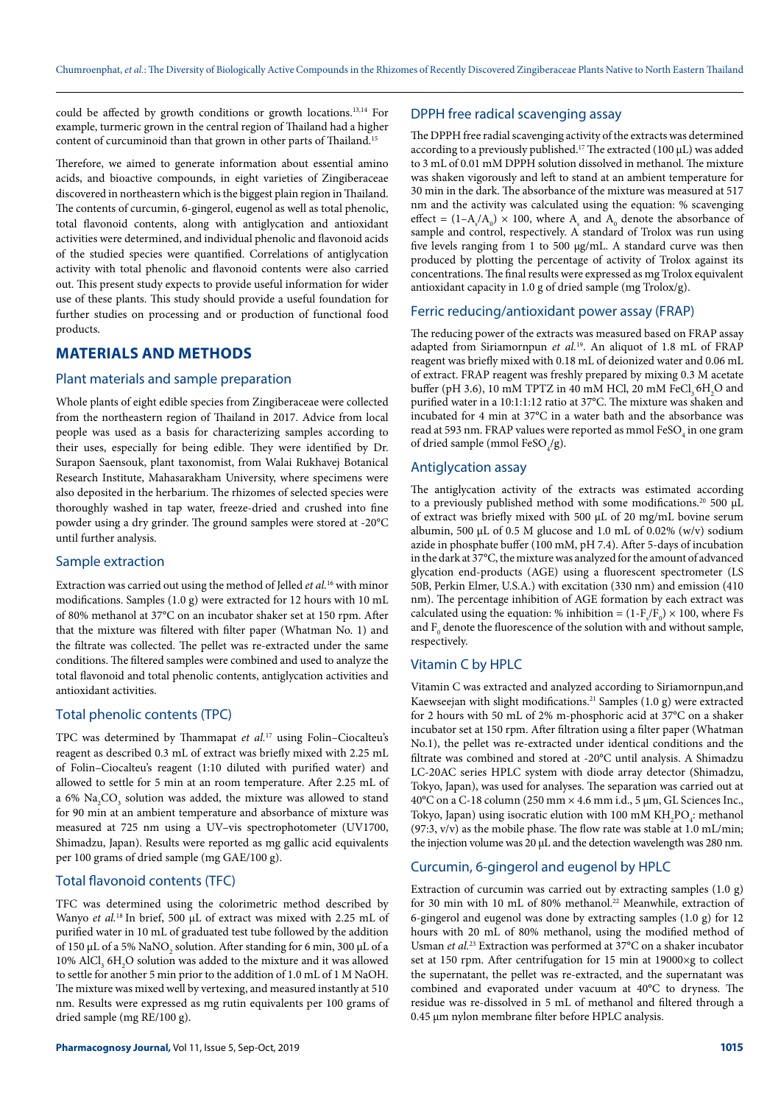could be affected by growth conditions or growth locations.13,14 For example, turmeric grown in the central region of Thailand had a higher content of curcuminoid than that grown in other parts of Thailand.<sup>15</sup>

Therefore, we aimed to generate information about essential amino acids, and bioactive compounds, in eight varieties of Zingiberaceae discovered in northeastern which is the biggest plain region in Thailand. The contents of curcumin, 6-gingerol, eugenol as well as total phenolic, total flavonoid contents, along with antiglycation and antioxidant activities were determined, and individual phenolic and flavonoid acids of the studied species were quantified. Correlations of antiglycation activity with total phenolic and flavonoid contents were also carried out. This present study expects to provide useful information for wider use of these plants. This study should provide a useful foundation for further studies on processing and or production of functional food products.

# **MATERIALS AND METHODS**

# Plant materials and sample preparation

Whole plants of eight edible species from Zingiberaceae were collected from the northeastern region of Thailand in 2017. Advice from local people was used as a basis for characterizing samples according to their uses, especially for being edible. They were identified by Dr. Surapon Saensouk, plant taxonomist, from Walai Rukhavej Botanical Research Institute, Mahasarakham University, where specimens were also deposited in the herbarium. The rhizomes of selected species were thoroughly washed in tap water, freeze-dried and crushed into fine powder using a dry grinder. The ground samples were stored at -20°C until further analysis.

#### Sample extraction

Extraction was carried out using the method of Jelled *et al.*16 with minor modifications. Samples (1.0 g) were extracted for 12 hours with 10 mL of 80% methanol at 37°C on an incubator shaker set at 150 rpm. After that the mixture was filtered with filter paper (Whatman No. 1) and the filtrate was collected. The pellet was re-extracted under the same conditions. The filtered samples were combined and used to analyze the total flavonoid and total phenolic contents, antiglycation activities and antioxidant activities.

# Total phenolic contents (TPC)

TPC was determined by Thammapat *et al.*17 using Folin–Ciocalteu's reagent as described 0.3 mL of extract was briefly mixed with 2.25 mL of Folin–Ciocalteu's reagent (1:10 diluted with purified water) and allowed to settle for 5 min at an room temperature. After 2.25 mL of a 6%  $\mathrm{Na_{2}CO_{_{3}}}$  solution was added, the mixture was allowed to stand for 90 min at an ambient temperature and absorbance of mixture was measured at 725 nm using a UV–vis spectrophotometer (UV1700, Shimadzu, Japan). Results were reported as mg gallic acid equivalents per 100 grams of dried sample (mg GAE/100 g).

# Total flavonoid contents (TFC)

TFC was determined using the colorimetric method described by Wanyo *et al.*18 In brief, 500 µL of extract was mixed with 2.25 mL of purified water in 10 mL of graduated test tube followed by the addition of 150  $\mu$ L of a 5%  $\mathrm{NaNO}_2$  solution. After standing for 6 min, 300  $\mu$ L of a 10% AlCl<sub>3</sub> 6H<sub>2</sub>O solution was added to the mixture and it was allowed to settle for another 5 min prior to the addition of 1.0 mL of 1 M NaOH. The mixture was mixed well by vertexing, and measured instantly at 510 nm. Results were expressed as mg rutin equivalents per 100 grams of dried sample (mg RE/100 g).

## DPPH free radical scavenging assay

The DPPH free radial scavenging activity of the extracts was determined according to a previously published.<sup>17</sup> The extracted (100  $\mu$ L) was added to 3 mL of 0.01 mM DPPH solution dissolved in methanol. The mixture was shaken vigorously and left to stand at an ambient temperature for 30 min in the dark. The absorbance of the mixture was measured at 517 nm and the activity was calculated using the equation: % scavenging effect =  $(1-A_s/A_0) \times 100$ , where A<sub>s</sub> and A<sub>0</sub> denote the absorbance of sample and control, respectively. A standard of Trolox was run using five levels ranging from 1 to 500 µg/mL. A standard curve was then produced by plotting the percentage of activity of Trolox against its concentrations. The final results were expressed as mg Trolox equivalent antioxidant capacity in 1.0 g of dried sample (mg Trolox/g).

#### Ferric reducing/antioxidant power assay (FRAP)

The reducing power of the extracts was measured based on FRAP assay adapted from Siriamornpun *et al.*19. An aliquot of 1.8 mL of FRAP reagent was briefly mixed with 0.18 mL of deionized water and 0.06 mL of extract. FRAP reagent was freshly prepared by mixing 0.3 M acetate buffer (pH 3.6), 10 mM TPTZ in 40 mM HCl, 20 mM FeCl<sub>3</sub> 6H<sub>2</sub>O and purified water in a 10:1:1:12 ratio at 37°C. The mixture was shaken and incubated for 4 min at 37°C in a water bath and the absorbance was read at 593 nm. FRAP values were reported as mmol ${\rm FeSO}_4$  in one gram of dried sample (mmol  $FeSO_4/g$ ).

#### Antiglycation assay

The antiglycation activity of the extracts was estimated according to a previously published method with some modifications.<sup>20</sup> 500  $\mu$ L of extract was briefly mixed with 500 µL of 20 mg/mL bovine serum albumin, 500 µL of 0.5 M glucose and 1.0 mL of 0.02% (w/v) sodium azide in phosphate buffer (100 mM, pH 7.4). After 5-days of incubation in the dark at 37°C, the mixture was analyzed for the amount of advanced glycation end-products (AGE) using a fluorescent spectrometer (LS 50B, Perkin Elmer, U.S.A.) with excitation (330 nm) and emission (410 nm). The percentage inhibition of AGE formation by each extract was calculated using the equation: % inhibition =  $(1 - F_s/F_0) \times 100$ , where Fs and  $\mathrm{F_{0}}$  denote the fluorescence of the solution with and without sample, respectively.

# Vitamin C by HPLC

Vitamin C was extracted and analyzed according to Siriamornpun,and Kaewseejan with slight modifications.21 Samples (1.0 g) were extracted for 2 hours with 50 mL of 2% m-phosphoric acid at 37°C on a shaker incubator set at 150 rpm. After filtration using a filter paper (Whatman No.1), the pellet was re-extracted under identical conditions and the filtrate was combined and stored at -20°C until analysis. A Shimadzu LC-20AC series HPLC system with diode array detector (Shimadzu, Tokyo, Japan), was used for analyses. The separation was carried out at 40°C on a C-18 column (250 mm  $\times$  4.6 mm i.d., 5 µm, GL Sciences Inc., Tokyo, Japan) using isocratic elution with 100 mM  $\text{KH}_{2}\text{PO}_{4}$ : methanol  $(97:3, v/v)$  as the mobile phase. The flow rate was stable at 1.0 mL/min; the injection volume was 20 µL and the detection wavelength was 280 nm.

#### Curcumin, 6-gingerol and eugenol by HPLC

Extraction of curcumin was carried out by extracting samples (1.0 g) for 30 min with 10 mL of 80% methanol.<sup>22</sup> Meanwhile, extraction of 6-gingerol and eugenol was done by extracting samples (1.0 g) for 12 hours with 20 mL of 80% methanol, using the modified method of Usman *et al.*23 Extraction was performed at 37°C on a shaker incubator set at 150 rpm. After centrifugation for 15 min at 19000×g to collect the supernatant, the pellet was re-extracted, and the supernatant was combined and evaporated under vacuum at 40°C to dryness. The residue was re-dissolved in 5 mL of methanol and filtered through a 0.45 µm nylon membrane filter before HPLC analysis.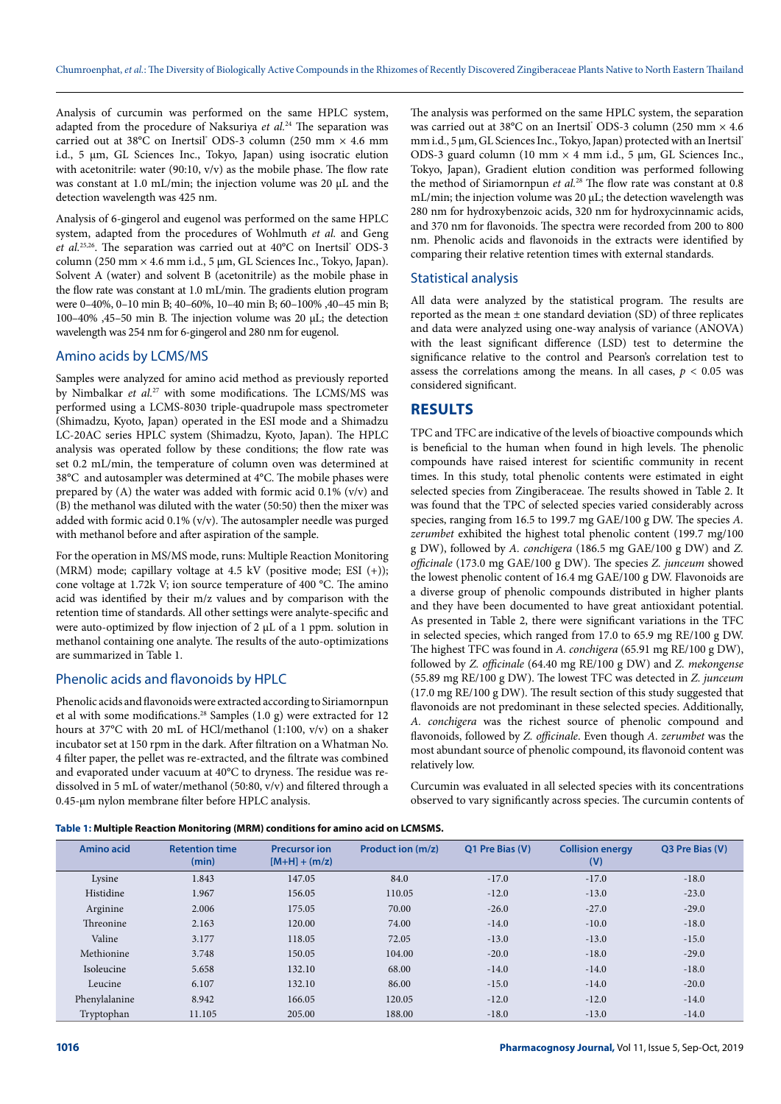Analysis of curcumin was performed on the same HPLC system, adapted from the procedure of Naksuriya *et al.*24 The separation was carried out at 38°C on Inertsil® ODS-3 column (250 mm × 4.6 mm i.d., 5 µm, GL Sciences Inc., Tokyo, Japan) using isocratic elution with acetonitrile: water (90:10,  $v/v$ ) as the mobile phase. The flow rate was constant at 1.0 mL/min; the injection volume was 20 µL and the detection wavelength was 425 nm.

Analysis of 6-gingerol and eugenol was performed on the same HPLC system, adapted from the procedures of Wohlmuth *et al.* and Geng et al.<sup>25,26</sup>. The separation was carried out at 40°C on Inertsil° ODS-3 column (250 mm  $\times$  4.6 mm i.d., 5 µm, GL Sciences Inc., Tokyo, Japan). Solvent A (water) and solvent B (acetonitrile) as the mobile phase in the flow rate was constant at 1.0 mL/min. The gradients elution program were 0–40%, 0–10 min B; 40–60%, 10–40 min B; 60–100% ,40–45 min B; 100–40% ,45–50 min B. The injection volume was 20 µL; the detection wavelength was 254 nm for 6-gingerol and 280 nm for eugenol.

#### Amino acids by LCMS/MS

Samples were analyzed for amino acid method as previously reported by Nimbalkar et al.<sup>27</sup> with some modifications. The LCMS/MS was performed using a LCMS-8030 triple-quadrupole mass spectrometer (Shimadzu, Kyoto, Japan) operated in the ESI mode and a Shimadzu LC-20AC series HPLC system (Shimadzu, Kyoto, Japan). The HPLC analysis was operated follow by these conditions; the flow rate was set 0.2 mL/min, the temperature of column oven was determined at 38°C and autosampler was determined at 4°C. The mobile phases were prepared by  $(A)$  the water was added with formic acid 0.1%  $(v/v)$  and (B) the methanol was diluted with the water (50:50) then the mixer was added with formic acid 0.1% (v/v). The autosampler needle was purged with methanol before and after aspiration of the sample.

For the operation in MS/MS mode, runs: Multiple Reaction Monitoring (MRM) mode; capillary voltage at 4.5 kV (positive mode; ESI  $(+)$ ); cone voltage at 1.72k V; ion source temperature of 400 °C. The amino acid was identified by their m/z values and by comparison with the retention time of standards. All other settings were analyte-specific and were auto-optimized by flow injection of 2 µL of a 1 ppm. solution in methanol containing one analyte. The results of the auto-optimizations are summarized in Table 1.

## Phenolic acids and flavonoids by HPLC

Phenolic acids and flavonoids were extracted according to Siriamornpun et al with some modifications.28 Samples (1.0 g) were extracted for 12 hours at 37°C with 20 mL of HCl/methanol (1:100, v/v) on a shaker incubator set at 150 rpm in the dark. After filtration on a Whatman No. 4 filter paper, the pellet was re-extracted, and the filtrate was combined and evaporated under vacuum at 40°C to dryness. The residue was redissolved in 5 mL of water/methanol (50:80, v/v) and filtered through a 0.45-µm nylon membrane filter before HPLC analysis.

The analysis was performed on the same HPLC system, the separation was carried out at 38°C on an Inertsil<sup>®</sup> ODS-3 column (250 mm × 4.6) mm i.d., 5  $\mu$ m, GL Sciences Inc., Tokyo, Japan) protected with an Inertsil® ODS-3 guard column (10 mm  $\times$  4 mm i.d., 5 µm, GL Sciences Inc., Tokyo, Japan), Gradient elution condition was performed following the method of Siriamornpun *et al.*28 The flow rate was constant at 0.8 mL/min; the injection volume was 20 µL; the detection wavelength was 280 nm for hydroxybenzoic acids, 320 nm for hydroxycinnamic acids, and 370 nm for flavonoids. The spectra were recorded from 200 to 800 nm. Phenolic acids and flavonoids in the extracts were identified by comparing their relative retention times with external standards.

#### Statistical analysis

All data were analyzed by the statistical program. The results are reported as the mean  $\pm$  one standard deviation (SD) of three replicates and data were analyzed using one-way analysis of variance (ANOVA) with the least significant difference (LSD) test to determine the significance relative to the control and Pearson's correlation test to assess the correlations among the means. In all cases,  $p < 0.05$  was considered significant.

# **RESULTS**

TPC and TFC are indicative of the levels of bioactive compounds which is beneficial to the human when found in high levels. The phenolic compounds have raised interest for scientific community in recent times. In this study, total phenolic contents were estimated in eight selected species from Zingiberaceae. The results showed in Table 2. It was found that the TPC of selected species varied considerably across species, ranging from 16.5 to 199.7 mg GAE/100 g DW. The species *A. zerumbet* exhibited the highest total phenolic content (199.7 mg/100 g DW), followed by *A. conchigera* (186.5 mg GAE/100 g DW) and *Z. officinale* (173.0 mg GAE/100 g DW). The species *Z. junceum* showed the lowest phenolic content of 16.4 mg GAE/100 g DW. Flavonoids are a diverse group of phenolic compounds distributed in higher plants and they have been documented to have great antioxidant potential. As presented in Table 2, there were significant variations in the TFC in selected species, which ranged from 17.0 to 65.9 mg RE/100 g DW. The highest TFC was found in *A. conchigera* (65.91 mg RE/100 g DW), followed by *Z. officinale* (64.40 mg RE/100 g DW) and *Z. mekongense* (55.89 mg RE/100 g DW). The lowest TFC was detected in *Z. junceum* (17.0 mg RE/100 g DW). The result section of this study suggested that flavonoids are not predominant in these selected species. Additionally, *A. conchigera* was the richest source of phenolic compound and flavonoids, followed by *Z. officinale*. Even though *A. zerumbet* was the most abundant source of phenolic compound, its flavonoid content was relatively low.

Curcumin was evaluated in all selected species with its concentrations observed to vary significantly across species. The curcumin contents of

**Table 1: Multiple Reaction Monitoring (MRM) conditions for amino acid on LCMSMS.**

| <b>Amino acid</b> | <b>Retention time</b><br>(min) | <b>Precursor ion</b><br>$[M+H] + (m/z)$ | Product ion (m/z) | Q1 Pre Bias (V) | <b>Collision energy</b><br>(V) | Q3 Pre Bias (V) |
|-------------------|--------------------------------|-----------------------------------------|-------------------|-----------------|--------------------------------|-----------------|
| Lysine            | 1.843                          | 147.05                                  | 84.0              | $-17.0$         | $-17.0$                        | $-18.0$         |
| Histidine         | 1.967                          | 156.05                                  | 110.05            | $-12.0$         | $-13.0$                        | $-23.0$         |
| Arginine          | 2.006                          | 175.05                                  | 70.00             | $-26.0$         | $-27.0$                        | $-29.0$         |
| Threonine         | 2.163                          | 120.00                                  | 74.00             | $-14.0$         | $-10.0$                        | $-18.0$         |
| Valine            | 3.177                          | 118.05                                  | 72.05             | $-13.0$         | $-13.0$                        | $-15.0$         |
| Methionine        | 3.748                          | 150.05                                  | 104.00            | $-20.0$         | $-18.0$                        | $-29.0$         |
| Isoleucine        | 5.658                          | 132.10                                  | 68.00             | $-14.0$         | $-14.0$                        | $-18.0$         |
| Leucine           | 6.107                          | 132.10                                  | 86.00             | $-15.0$         | $-14.0$                        | $-20.0$         |
| Phenylalanine     | 8.942                          | 166.05                                  | 120.05            | $-12.0$         | $-12.0$                        | $-14.0$         |
| Tryptophan        | 11.105                         | 205.00                                  | 188.00            | $-18.0$         | $-13.0$                        | $-14.0$         |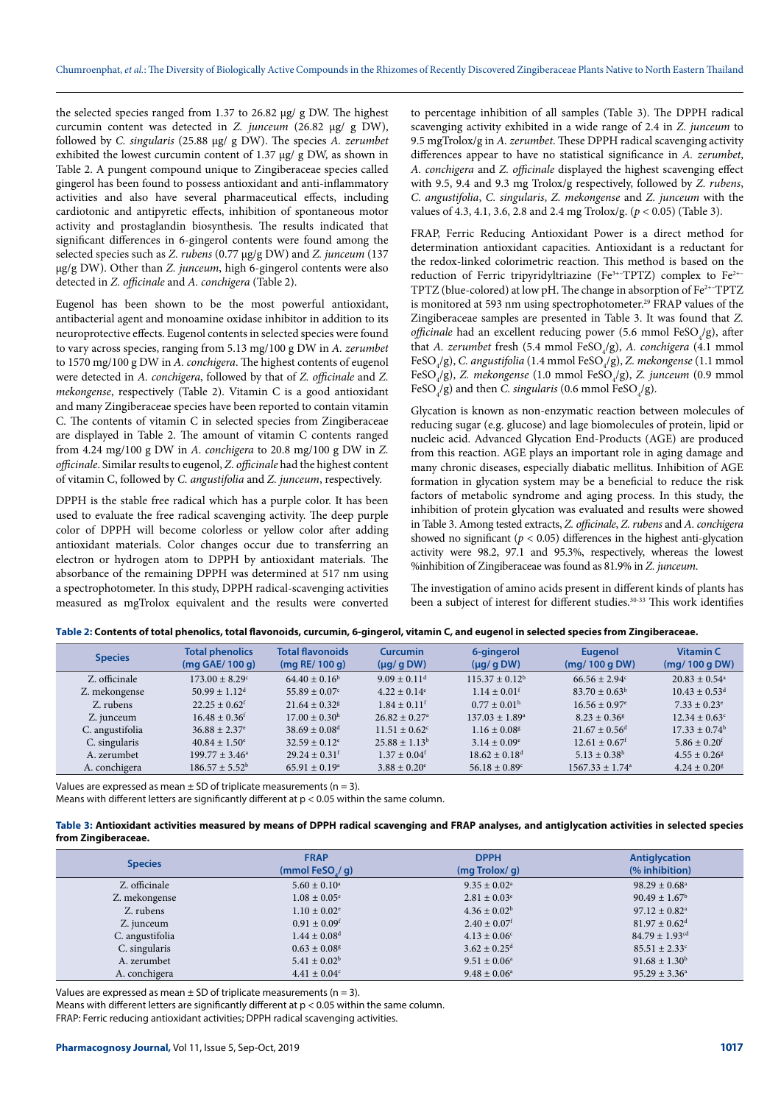the selected species ranged from 1.37 to 26.82 µg/ g DW. The highest curcumin content was detected in *Z. junceum* (26.82 µg/ g DW), followed by *C. singularis* (25.88 µg/ g DW). The species *A. zerumbet* exhibited the lowest curcumin content of 1.37 µg/ g DW, as shown in Table 2. A pungent compound unique to Zingiberaceae species called gingerol has been found to possess antioxidant and anti-inflammatory activities and also have several pharmaceutical effects, including cardiotonic and antipyretic effects, inhibition of spontaneous motor activity and prostaglandin biosynthesis. The results indicated that significant differences in 6-gingerol contents were found among the selected species such as *Z. rubens* (0.77 µg/g DW) and *Z. junceum* (137 µg/g DW). Other than *Z. junceum*, high 6-gingerol contents were also detected in *Z. officinale* and *A. conchigera* (Table 2).

Eugenol has been shown to be the most powerful antioxidant, antibacterial agent and monoamine oxidase inhibitor in addition to its neuroprotective effects. Eugenol contents in selected species were found to vary across species, ranging from 5.13 mg/100 g DW in *A. zerumbet* to 1570 mg/100 g DW in *A. conchigera*. The highest contents of eugenol were detected in *A. conchigera*, followed by that of *Z. officinale* and *Z. mekongense*, respectively (Table 2). Vitamin C is a good antioxidant and many Zingiberaceae species have been reported to contain vitamin C. The contents of vitamin C in selected species from Zingiberaceae are displayed in Table 2. The amount of vitamin C contents ranged from 4.24 mg/100 g DW in *A. conchigera* to 20.8 mg/100 g DW in *Z. officinale*. Similar results to eugenol, *Z. officinale* had the highest content of vitamin C, followed by *C. angustifolia* and *Z. junceum*, respectively.

DPPH is the stable free radical which has a purple color. It has been used to evaluate the free radical scavenging activity. The deep purple color of DPPH will become colorless or yellow color after adding antioxidant materials. Color changes occur due to transferring an electron or hydrogen atom to DPPH by antioxidant materials. The absorbance of the remaining DPPH was determined at 517 nm using a spectrophotometer. In this study, DPPH radical-scavenging activities measured as mgTrolox equivalent and the results were converted

to percentage inhibition of all samples (Table 3). The DPPH radical scavenging activity exhibited in a wide range of 2.4 in *Z. junceum* to 9.5 mgTrolox/g in *A. zerumbet*. These DPPH radical scavenging activity differences appear to have no statistical significance in *A. zerumbet*, *A. conchigera* and *Z. officinale* displayed the highest scavenging effect with 9.5, 9.4 and 9.3 mg Trolox/g respectively, followed by *Z. rubens*, *C. angustifolia*, *C. singularis*, *Z. mekongense* and *Z. junceum* with the values of 4.3, 4.1, 3.6, 2.8 and 2.4 mg Trolox/g. (*p* < 0.05) (Table 3).

FRAP, Ferric Reducing Antioxidant Power is a direct method for determination antioxidant capacities. Antioxidant is a reductant for the redox-linked colorimetric reaction. This method is based on the reduction of Ferric tripyridyltriazine (Fe<sup>3+-</sup>TPTZ) complex to Fe<sup>2+-</sup> TPTZ (blue-colored) at low pH. The change in absorption of Fe2+–TPTZ is monitored at 593 nm using spectrophotometer.<sup>29</sup> FRAP values of the Zingiberaceae samples are presented in Table 3. It was found that *Z. officinale* had an excellent reducing power (5.6 mmol FeSO<sub>4</sub>/g), after that *A. zerumbet* fresh (5.4 mmol FeSO<sub>4</sub>/g), *A. conchigera* (4.1 mmol FeSO<sub>4</sub>/g), *C. angustifolia* (1.4 mmol FeSO<sub>4</sub>/g), *Z. mekongense* (1.1 mmol FeSO<sub>4</sub>/g), *Z. mekongense* (1.0 mmol FeSO<sub>4</sub>/g), *Z. junceum* (0.9 mmol FeSO<sub>4</sub>/g) and then *C. singularis* (0.6 mmol FeSO<sub>4</sub>/g).

Glycation is known as non-enzymatic reaction between molecules of reducing sugar (e.g. glucose) and lage biomolecules of protein, lipid or nucleic acid. Advanced Glycation End-Products (AGE) are produced from this reaction. AGE plays an important role in aging damage and many chronic diseases, especially diabatic mellitus. Inhibition of AGE formation in glycation system may be a beneficial to reduce the risk factors of metabolic syndrome and aging process. In this study, the inhibition of protein glycation was evaluated and results were showed in Table 3. Among tested extracts, *Z. officinale*, *Z. rubens* and *A. conchigera* showed no significant ( $p < 0.05$ ) differences in the highest anti-glycation activity were 98.2, 97.1 and 95.3%, respectively, whereas the lowest %inhibition of Zingiberaceae was found as 81.9% in *Z. junceum*.

The investigation of amino acids present in different kinds of plants has been a subject of interest for different studies.<sup>30-33</sup> This work identifies

| Table 2: Contents of total phenolics, total flavonoids, curcumin, 6-gingerol, vitamin C, and eugenol in selected species from Zingiberaceae. |  |  |  |  |
|----------------------------------------------------------------------------------------------------------------------------------------------|--|--|--|--|
|----------------------------------------------------------------------------------------------------------------------------------------------|--|--|--|--|

| <b>Species</b>  | <b>Total phenolics</b><br>$(mq$ GAE/100 $q)$ | <b>Total flavonoids</b><br>$(mq$ RE/ 100 g) | <b>Curcumin</b><br>$(\mu q / q DW)$ | 6-gingerol<br>$(\mu q / q DW)$ | <b>Eugenol</b><br>(mq/100qDW) | <b>Vitamin C</b><br>(mq/100qDW) |
|-----------------|----------------------------------------------|---------------------------------------------|-------------------------------------|--------------------------------|-------------------------------|---------------------------------|
| Z. officinale   | $173.00 + 8.29^{\circ}$                      | $64.40 \pm 0.16^b$                          | $9.09 \pm 0.11$ <sup>d</sup>        | $115.37 \pm 0.12^b$            | $66.56 + 2.94^{\circ}$        | $20.83 + 0.54$ <sup>a</sup>     |
| Z. mekongense   | $50.99 \pm 1.12$ <sup>d</sup>                | $55.89 \pm 0.07$ °                          | $4.22 \pm 0.14$ <sup>e</sup>        | $1.14 \pm 0.01$ <sup>f</sup>   | $83.70 \pm 0.63^{\circ}$      | $10.43 \pm 0.53$ <sup>d</sup>   |
| Z. rubens       | $22.25 \pm 0.62$ <sup>f</sup>                | $21.64 + 0.32$ <sup>g</sup>                 | $1.84 \pm 0.11^f$                   | $0.77 \pm 0.01^{\rm h}$        | $16.56 \pm 0.97$ <sup>e</sup> | $7.33 \pm 0.23^{\circ}$         |
| Z. junceum      | $16.48 \pm 0.36$ <sup>f</sup>                | $17.00 + 0.30$ <sup>h</sup>                 | $26.82 + 0.27$ <sup>a</sup>         | $137.03 \pm 1.89^{\circ}$      | $8.23 + 0.36$ <sup>g</sup>    | $12.34 \pm 0.63^{\circ}$        |
| C. angustifolia | $36.88 + 2.37$ <sup>e</sup>                  | $38.69 \pm 0.08$ <sup>d</sup>               | $11.51 \pm 0.62$ <sup>c</sup>       | $1.16 \pm 0.08$ <sup>g</sup>   | $21.67 \pm 0.56$ <sup>d</sup> | $17.33 \pm 0.74^{\rm b}$        |
| C. singularis   | $40.84 \pm 1.50^{\circ}$                     | $32.59 \pm 0.12^e$                          | $25.88 \pm 1.13^b$                  | $3.14 \pm 0.09^{\circ}$        | $12.61 \pm 0.67$ <sup>f</sup> | $5.86 \pm 0.20$ <sup>f</sup>    |
| A. zerumbet     | $199.77 \pm 3.46^a$                          | $29.24 \pm 0.31$ <sup>f</sup>               | $1.37 \pm 0.04$ <sup>f</sup>        | $18.62 \pm 0.18$ <sup>d</sup>  | $5.13 \pm 0.38$ <sup>h</sup>  | $4.55 \pm 0.26$ <sup>g</sup>    |
| A. conchigera   | $186.57 + 5.52^b$                            | $65.91 \pm 0.19^{\circ}$                    | $3.88 \pm 0.20^e$                   | $56.18 \pm 0.89^{\circ}$       | $1567.33 + 1.74a$             | $4.24 \pm 0.20^8$               |

Values are expressed as mean  $\pm$  SD of triplicate measurements (n = 3).

Means with different letters are significantly different at p < 0.05 within the same column.

| Table 3: Antioxidant activities measured by means of DPPH radical scavenging and FRAP analyses, and antiglycation activities in selected species |  |  |
|--------------------------------------------------------------------------------------------------------------------------------------------------|--|--|
| from Zingiberaceae.                                                                                                                              |  |  |

| <b>Species</b>  | <b>FRAP</b><br>(mmol FeSO $/$ q) | <b>DPPH</b><br>$(mq$ Trolox/ $q$ ) | <b>Antiglycation</b><br>(% inhibition) |
|-----------------|----------------------------------|------------------------------------|----------------------------------------|
| Z. officinale   | $5.60 \pm 0.10^a$                | $9.35 \pm 0.02^{\text{a}}$         | $98.29 \pm 0.68^{\circ}$               |
| Z. mekongense   | $1.08 \pm 0.05^{\circ}$          | $2.81 \pm 0.03^{\circ}$            | $90.49 \pm 1.67^{\rm b}$               |
| Z. rubens       | $1.10 \pm 0.02$ <sup>e</sup>     | $4.36 \pm 0.02^b$                  | $97.12 \pm 0.82$ <sup>a</sup>          |
| Z. junceum      | $0.91 \pm 0.09$ <sup>f</sup>     | $2.40 \pm 0.07$ <sup>f</sup>       | $81.97 \pm 0.62$ <sup>d</sup>          |
| C. angustifolia | $1.44 \pm 0.08$ <sup>d</sup>     | $4.13 \pm 0.06^{\circ}$            | $84.79 \pm 1.93$ <sup>cd</sup>         |
| C. singularis   | $0.63 \pm 0.08$ <sup>g</sup>     | $3.62 \pm 0.25$ <sup>d</sup>       | $85.51 \pm 2.33^{\circ}$               |
| A. zerumbet     | $5.41 \pm 0.02^b$                | $9.51 \pm 0.06^{\circ}$            | $91.68 \pm 1.30^b$                     |
| A. conchigera   | $4.41 \pm 0.04$ <sup>c</sup>     | $9.48 \pm 0.06^{\circ}$            | $95.29 \pm 3.36^{\circ}$               |

Values are expressed as mean  $\pm$  SD of triplicate measurements (n = 3).

Means with different letters are significantly different at p < 0.05 within the same column.

FRAP: Ferric reducing antioxidant activities; DPPH radical scavenging activities.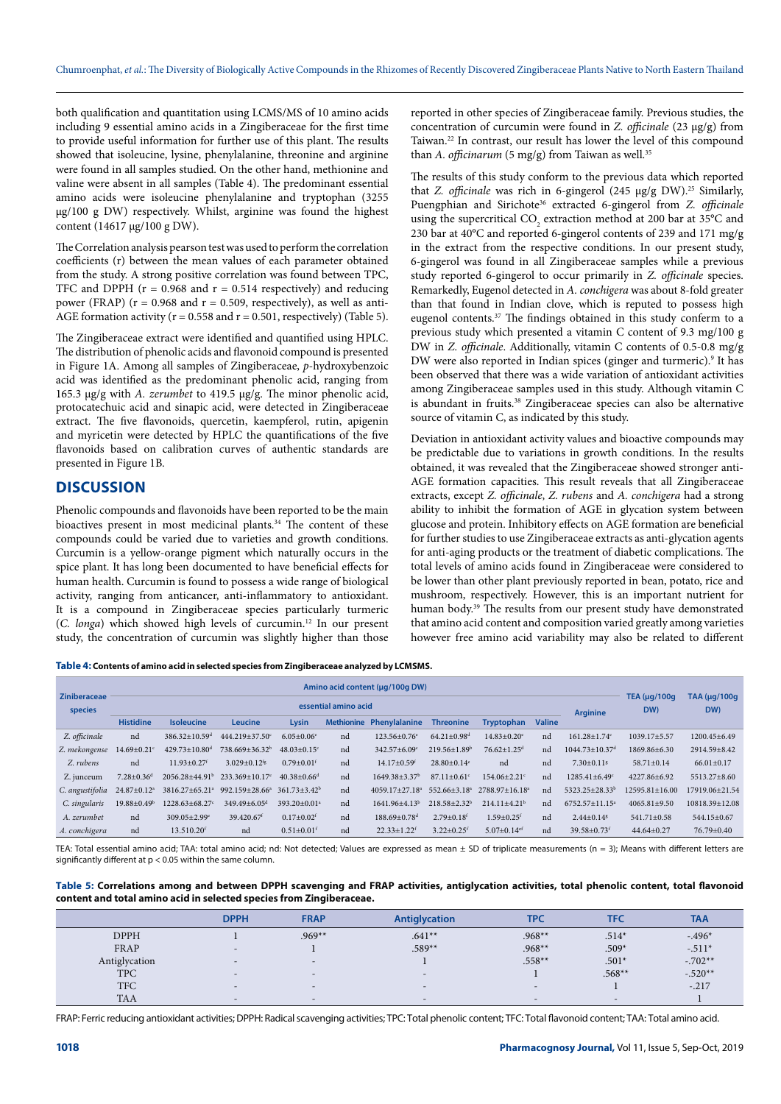both qualification and quantitation using LCMS/MS of 10 amino acids including 9 essential amino acids in a Zingiberaceae for the first time to provide useful information for further use of this plant. The results showed that isoleucine, lysine, phenylalanine, threonine and arginine were found in all samples studied. On the other hand, methionine and valine were absent in all samples (Table 4). The predominant essential amino acids were isoleucine phenylalanine and tryptophan (3255 µg/100 g DW) respectively. Whilst, arginine was found the highest content (14617 µg/100 g DW).

The Correlation analysis pearson test was used to perform the correlation coefficients (r) between the mean values of each parameter obtained from the study. A strong positive correlation was found between TPC, TFC and DPPH ( $r = 0.968$  and  $r = 0.514$  respectively) and reducing power (FRAP) ( $r = 0.968$  and  $r = 0.509$ , respectively), as well as anti-AGE formation activity ( $r = 0.558$  and  $r = 0.501$ , respectively) (Table 5).

The Zingiberaceae extract were identified and quantified using HPLC. The distribution of phenolic acids and flavonoid compound is presented in Figure 1A. Among all samples of Zingiberaceae, *p*-hydroxybenzoic acid was identified as the predominant phenolic acid, ranging from 165.3 μg/g with *A. zerumbet* to 419.5 μg/g. The minor phenolic acid, protocatechuic acid and sinapic acid, were detected in Zingiberaceae extract. The five flavonoids, quercetin, kaempferol, rutin, apigenin and myricetin were detected by HPLC the quantifications of the five flavonoids based on calibration curves of authentic standards are presented in Figure 1B.

# **DISCUSSION**

Phenolic compounds and flavonoids have been reported to be the main bioactives present in most medicinal plants.<sup>34</sup> The content of these compounds could be varied due to varieties and growth conditions. Curcumin is a yellow-orange pigment which naturally occurs in the spice plant. It has long been documented to have beneficial effects for human health. Curcumin is found to possess a wide range of biological activity, ranging from anticancer, anti-inflammatory to antioxidant. It is a compound in Zingiberaceae species particularly turmeric (*C. longa*) which showed high levels of curcumin.12 In our present study, the concentration of curcumin was slightly higher than those

reported in other species of Zingiberaceae family. Previous studies, the concentration of curcumin were found in *Z. officinale* (23 µg/g) from Taiwan.22 In contrast, our result has lower the level of this compound than *A. officinarum* (5 mg/g) from Taiwan as well.<sup>35</sup>

The results of this study conform to the previous data which reported that *Z. officinale* was rich in 6-gingerol (245 µg/g DW).<sup>25</sup> Similarly, Puengphian and Sirichote36 extracted 6-gingerol from *Z. officinale* using the supercritical  $CO_2$  extraction method at 200 bar at 35°C and 230 bar at 40°C and reported 6-gingerol contents of 239 and 171 mg/g in the extract from the respective conditions. In our present study, 6-gingerol was found in all Zingiberaceae samples while a previous study reported 6-gingerol to occur primarily in *Z. officinale* species. Remarkedly, Eugenol detected in *A. conchigera* was about 8-fold greater than that found in Indian clove, which is reputed to possess high eugenol contents.<sup>37</sup> The findings obtained in this study conferm to a previous study which presented a vitamin C content of 9.3 mg/100 g DW in *Z. officinale*. Additionally, vitamin C contents of 0.5-0.8 mg/g DW were also reported in Indian spices (ginger and turmeric).<sup>9</sup> It has been observed that there was a wide variation of antioxidant activities among Zingiberaceae samples used in this study. Although vitamin C is abundant in fruits.38 Zingiberaceae species can also be alternative source of vitamin C, as indicated by this study.

Deviation in antioxidant activity values and bioactive compounds may be predictable due to variations in growth conditions. In the results obtained, it was revealed that the Zingiberaceae showed stronger anti-AGE formation capacities. This result reveals that all Zingiberaceae extracts, except *Z. officinale*, *Z. rubens* and *A. conchigera* had a strong ability to inhibit the formation of AGE in glycation system between glucose and protein. Inhibitory effects on AGE formation are beneficial for further studies to use Zingiberaceae extracts as anti-glycation agents for anti-aging products or the treatment of diabetic complications. The total levels of amino acids found in Zingiberaceae were considered to be lower than other plant previously reported in bean, potato, rice and mushroom, respectively. However, this is an important nutrient for human body.39 The results from our present study have demonstrated that amino acid content and composition varied greatly among varieties however free amino acid variability may also be related to different

**Table 4: Contents of amino acid in selected species from Zingiberaceae analyzed by LCMSMS.**

| Ziniberaceae    | Amino acid content (µq/100q DW) |                                 |                                                         |                               |                   |                                  |                               |                               |               |                                  |                           |                     |
|-----------------|---------------------------------|---------------------------------|---------------------------------------------------------|-------------------------------|-------------------|----------------------------------|-------------------------------|-------------------------------|---------------|----------------------------------|---------------------------|---------------------|
| species         | essential amino acid            |                                 |                                                         |                               |                   |                                  |                               |                               |               | <b>Arginine</b>                  | TEA $(\mu q/100q)$<br>DW) | TAA (µg/100g<br>DW) |
|                 | <b>Histidine</b>                | <b>Isoleucine</b>               | Leucine                                                 | Lysin                         | <b>Methionine</b> | Phenylalanine                    | <b>Threonine</b>              | Tryptophan                    | <b>Valine</b> |                                  |                           |                     |
| Z. officinale   | nd                              | $386.32 \pm 10.59$ <sup>d</sup> | 444.219±37.50c                                          | $6.05 \pm 0.06$ <sup>e</sup>  | nd                | $123.56 \pm 0.76$ <sup>e</sup>   | $64.21 \pm 0.98$ <sup>d</sup> | $14.83 \pm 0.20$ <sup>e</sup> | nd            | $161.28 \pm 1.74$ <sup>e</sup>   | 1039.17±5.57              | $1200.45 \pm 6.49$  |
| Z. mekongense   | $14.69 \pm 0.21$ <sup>c</sup>   | $429.73 \pm 10.80$ <sup>d</sup> | $738.669 \pm 36.32^b$                                   | $48.03 \pm 0.15$ <sup>c</sup> | nd                | $342.57 \pm 6.09$ <sup>c</sup>   | $219.56 \pm 1.89^b$           | $76.62 \pm 1.25$ <sup>d</sup> | nd            | $1044.73 \pm 10.37$ <sup>d</sup> | 1869.86±6.30              | 2914.59±8.42        |
| Z. rubens       | nd                              | $11.93 \pm 0.27$ <sup>f</sup>   | $3.029 \pm 0.12$ <sup>fg</sup>                          | $0.79 \pm 0.01$ <sup>f</sup>  | nd                | $14.17 \pm 0.59$ <sup>f</sup>    | $28.80 \pm 0.14$ <sup>e</sup> | nd                            | nd            | $7.30 \pm 0.11$ <sup>8</sup>     | $58.71 \pm 0.14$          | $66.01 \pm 0.17$    |
| Z. junceum      | $7.28 \pm 0.36$ <sup>d</sup>    |                                 | $2056.28 \pm 44.91^{\circ}$ $233.369 \pm 10.17^{\circ}$ | $40.38 \pm 0.66$ <sup>d</sup> | nd                | $1649.38 + 3.37b$                | $87.11 + 0.61$ <sup>c</sup>   | $154.06 + 2.21$ <sup>c</sup>  | nd            | $1285.41 \pm 6.49$ <sup>c</sup>  | 4227.86±6.92              | 5513.27±8.60        |
| C. angustifolia | 24.87±0.12 <sup>a</sup>         |                                 | 3816.27±65.21 <sup>a</sup> 992.159±28.66 <sup>a</sup>   | $361.73 \pm 3.42^b$           | nd                | $4059.17 \pm 27.18$ <sup>a</sup> | $552.66 \pm 3.18^a$           | 2788.97+16.18 <sup>a</sup>    | nd            | $5323.25 \pm 28.33^b$            | $12595.81 + 16.00$        | 17919.06±21.54      |
| C. singularis   | $19.88 \pm 0.49^b$              | 1228.63±68.27c                  | $349.49 \pm 6.05$ <sup>d</sup>                          | $393.20 \pm 0.01^a$           | nd                | $1641.96 + 4.13b$                | $218.58 + 2.32^b$             | $214.11 + 4.21b$              | nd            | $6752.57+11.15^a$                | $4065.81 \pm 9.50$        | 10818.39±12.08      |
| A. zerumbet     | nd                              | $309.05 \pm 2.99$ <sup>e</sup>  | 39.420.67 <sup>f</sup>                                  | $0.17 \pm 0.02$ <sup>f</sup>  | nd                | $188.69 + 0.78$ <sup>d</sup>     | $2.79 \pm 0.18$ <sup>f</sup>  | $1.59 + 0.25$ <sup>f</sup>    | nd            | $2.44 \pm 0.14$ <sup>8</sup>     | $541.71 \pm 0.58$         | $544.15 \pm 0.67$   |
| A. conchigera   | nd                              | 13.510.20 <sup>f</sup>          | nd                                                      | $0.51 \pm 0.01$ <sup>f</sup>  | nd                | $22.33 \pm 1.22$ <sup>f</sup>    | $3.22 \pm 0.25$ <sup>f</sup>  | 5.07 $\pm$ 0.14 <sup>ef</sup> | nd            | $39.58 \pm 0.73$ <sup>f</sup>    | $44.64 \pm 0.27$          | $76.79 \pm 0.40$    |

TEA: Total essential amino acid; TAA: total amino acid; nd: Not detected; Values are expressed as mean ± SD of triplicate measurements (n = 3); Means with different letters are significantly different at p < 0.05 within the same column.

**Table 5: Correlations among and between DPPH scavenging and FRAP activities, antiglycation activities, total phenolic content, total flavonoid content and total amino acid in selected species from Zingiberaceae.**

|               | <b>DPPH</b>              | <b>FRAP</b>              | Antiglycation            | <b>TPC</b>               | TFC      | <b>TAA</b> |
|---------------|--------------------------|--------------------------|--------------------------|--------------------------|----------|------------|
| <b>DPPH</b>   |                          | $.969**$                 | $.641**$                 | $.968**$                 | $.514*$  | $-.496*$   |
| FRAP          | $-$                      |                          | $.589**$                 | $.968**$                 | $.509*$  | $-.511*$   |
| Antiglycation | $\overline{\phantom{a}}$ | $\overline{\phantom{a}}$ |                          | $.558**$                 | $.501*$  | $-.702**$  |
| <b>TPC</b>    | $\overline{\phantom{a}}$ | $\overline{\phantom{a}}$ | $\overline{\phantom{a}}$ |                          | $.568**$ | $-0.520**$ |
| <b>TFC</b>    |                          | $\overline{\phantom{a}}$ | $\overline{\phantom{a}}$ | $\overline{\phantom{a}}$ |          | $-.217$    |
| <b>TAA</b>    | $\sim$                   | $\overline{\phantom{a}}$ | -                        | $\overline{\phantom{a}}$ |          |            |

FRAP: Ferric reducing antioxidant activities; DPPH: Radical scavenging activities; TPC: Total phenolic content; TFC: Total flavonoid content; TAA: Total amino acid.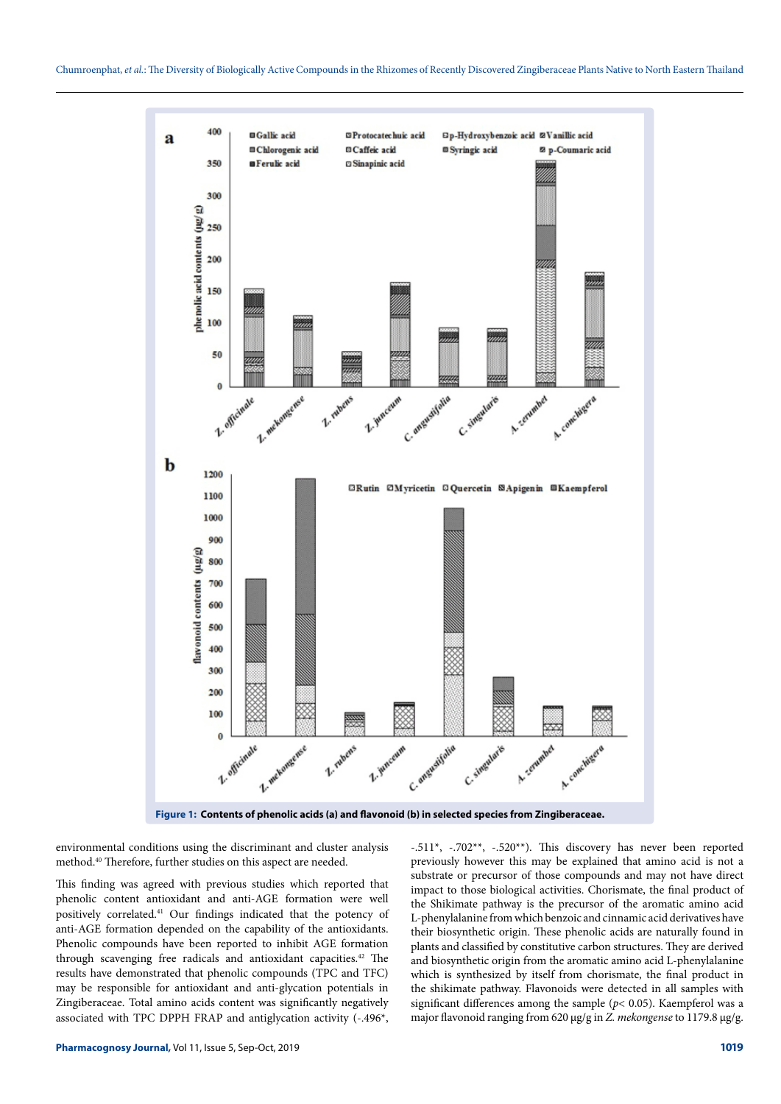

**Figure 1: Contents of phenolic acids (a) and flavonoid (b) in selected species from Zingiberaceae.**

environmental conditions using the discriminant and cluster analysis method.40 Therefore, further studies on this aspect are needed.

This finding was agreed with previous studies which reported that phenolic content antioxidant and anti-AGE formation were well positively correlated.41 Our findings indicated that the potency of anti-AGE formation depended on the capability of the antioxidants. Phenolic compounds have been reported to inhibit AGE formation through scavenging free radicals and antioxidant capacities.<sup>42</sup> The results have demonstrated that phenolic compounds (TPC and TFC) may be responsible for antioxidant and anti-glycation potentials in Zingiberaceae. Total amino acids content was significantly negatively associated with TPC DPPH FRAP and antiglycation activity (-.496\*,

-.511\*, -.702\*\*, -.520\*\*). This discovery has never been reported previously however this may be explained that amino acid is not a substrate or precursor of those compounds and may not have direct impact to those biological activities. Chorismate, the final product of the Shikimate pathway is the precursor of the aromatic amino acid L-phenylalanine from which benzoic and cinnamic acid derivatives have their biosynthetic origin. These phenolic acids are naturally found in plants and classified by constitutive carbon structures. They are derived and biosynthetic origin from the aromatic amino acid L-phenylalanine which is synthesized by itself from chorismate, the final product in the shikimate pathway. Flavonoids were detected in all samples with significant differences among the sample (*p*< 0.05). Kaempferol was a major flavonoid ranging from 620 μg/g in *Z. mekongense* to 1179.8 μg/g.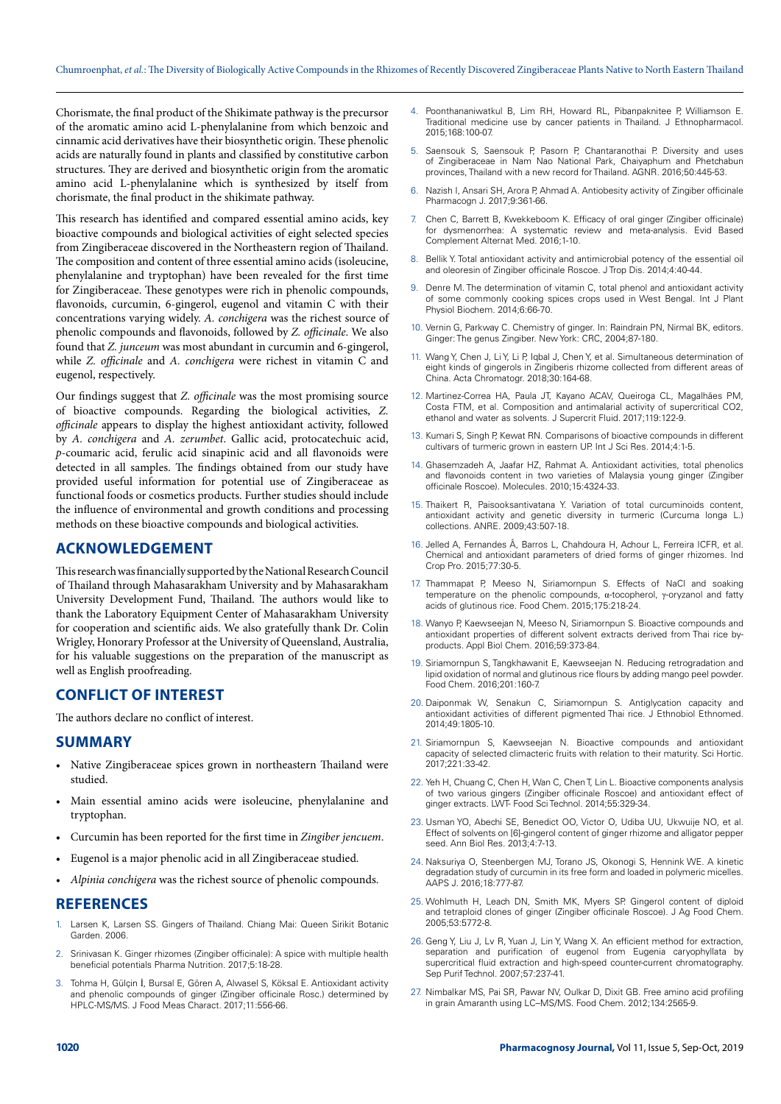Chorismate, the final product of the Shikimate pathway is the precursor of the aromatic amino acid L-phenylalanine from which benzoic and cinnamic acid derivatives have their biosynthetic origin. These phenolic acids are naturally found in plants and classified by constitutive carbon structures. They are derived and biosynthetic origin from the aromatic amino acid L-phenylalanine which is synthesized by itself from chorismate, the final product in the shikimate pathway.

This research has identified and compared essential amino acids, key bioactive compounds and biological activities of eight selected species from Zingiberaceae discovered in the Northeastern region of Thailand. The composition and content of three essential amino acids (isoleucine, phenylalanine and tryptophan) have been revealed for the first time for Zingiberaceae. These genotypes were rich in phenolic compounds, flavonoids, curcumin, 6-gingerol, eugenol and vitamin C with their concentrations varying widely. *A. conchigera* was the richest source of phenolic compounds and flavonoids, followed by *Z. officinale*. We also found that *Z. junceum* was most abundant in curcumin and 6-gingerol, while *Z. officinale* and *A. conchigera* were richest in vitamin C and eugenol, respectively.

Our findings suggest that *Z. officinale* was the most promising source of bioactive compounds. Regarding the biological activities, *Z. officinale* appears to display the highest antioxidant activity, followed by *A. conchigera* and *A. zerumbet*. Gallic acid, protocatechuic acid, *p*-coumaric acid, ferulic acid sinapinic acid and all flavonoids were detected in all samples. The findings obtained from our study have provided useful information for potential use of Zingiberaceae as functional foods or cosmetics products. Further studies should include the influence of environmental and growth conditions and processing methods on these bioactive compounds and biological activities.

## **ACKNOWLEDGEMENT**

This research was financially supported by the National Research Council of Thailand through Mahasarakham University and by Mahasarakham University Development Fund, Thailand. The authors would like to thank the Laboratory Equipment Center of Mahasarakham University for cooperation and scientific aids. We also gratefully thank Dr. Colin Wrigley, Honorary Professor at the University of Queensland, Australia, for his valuable suggestions on the preparation of the manuscript as well as English proofreading.

## **CONFLICT OF INTEREST**

The authors declare no conflict of interest.

#### **SUMMARY**

- Native Zingiberaceae spices grown in northeastern Thailand were studied.
- Main essential amino acids were isoleucine, phenylalanine and tryptophan.
- Curcumin has been reported for the first time in *Zingiber jencuem*.
- Eugenol is a major phenolic acid in all Zingiberaceae studied.
- *• Alpinia conchigera* was the richest source of phenolic compounds.

## **REFERENCES**

- 1. Larsen K, Larsen SS. Gingers of Thailand. Chiang Mai: Queen Sirikit Botanic Garden. 2006.
- 2. Srinivasan K. Ginger rhizomes (Zingiber officinale): A spice with multiple health beneficial potentials Pharma Nutrition. 2017;5:18-28.
- 3. Tohma H, Gülçin İ, Bursal E, Gören A, Alwasel S, Köksal E. Antioxidant activity and phenolic compounds of ginger (Zingiber officinale Rosc.) determined by HPLC-MS/MS. J Food Meas Charact. 2017;11:556-66.
- 4. Poonthananiwatkul B, Lim RH, Howard RL, Pibanpaknitee P, Williamson E. Traditional medicine use by cancer patients in Thailand. J Ethnopharmacol. 2015;168:100-07.
- 5. Saensouk S, Saensouk P, Pasorn P, Chantaranothai P. Diversity and uses of Zingiberaceae in Nam Nao National Park, Chaiyaphum and Phetchabun provinces, Thailand with a new record for Thailand. AGNR. 2016;50:445-53.
- Nazish I, Ansari SH, Arora P, Ahmad A. Antiobesity activity of Zingiber officinale Pharmacogn J. 2017;9:361-66.
- 7. Chen C, Barrett B, Kwekkeboom K. Efficacy of oral ginger (Zingiber officinale) for dysmenorrhea: A systematic review and meta-analysis. Evid Based Complement Alternat Med. 2016;1-10.
- 8. Bellik Y. Total antioxidant activity and antimicrobial potency of the essential oil and oleoresin of Zingiber officinale Roscoe. J Trop Dis. 2014;4:40-44.
- 9. Denre M. The determination of vitamin C, total phenol and antioxidant activity of some commonly cooking spices crops used in West Bengal. Int J Plant Physiol Biochem. 2014;6:66-70.
- 10. Vernin G, Parkway C. Chemistry of ginger. In: Raindrain PN, Nirmal BK, editors. Ginger: The genus Zingiber. New York: CRC, 2004;87-180.
- Wang Y, Chen J, Li Y, Li P, Iqbal J, Chen Y, et al. Simultaneous determination of eight kinds of gingerols in Zingiberis rhizome collected from different areas of China. Acta Chromatogr. 2018;30:164-68.
- 12. Martinez-Correa HA, Paula JT, Kayano ACAV, Queiroga CL, Magalhães PM, Costa FTM, et al. Composition and antimalarial activity of supercritical CO2, ethanol and water as solvents. J Supercrit Fluid. 2017;119:122-9.
- 13. Kumari S, Singh P, Kewat RN. Comparisons of bioactive compounds in different cultivars of turmeric grown in eastern UP. Int J Sci Res. 2014;4:1-5.
- 14. Ghasemzadeh A, Jaafar HZ, Rahmat A. Antioxidant activities, total phenolics and flavonoids content in two varieties of Malaysia young ginger (Zingiber officinale Roscoe). Molecules. 2010;15:4324-33.
- 15. Thaikert R, Paisooksantivatana Y. Variation of total curcuminoids content, antioxidant activity and genetic diversity in turmeric (Curcuma longa L.) collections. ANRE. 2009;43:507-18.
- 16. Jelled A, Fernandes Â, Barros L, Chahdoura H, Achour L, Ferreira ICFR, et al. Chemical and antioxidant parameters of dried forms of ginger rhizomes. Ind Crop Pro. 2015;77:30-5.
- 17. Thammapat P, Meeso N, Siriamornpun S. Effects of NaCl and soaking temperature on the phenolic compounds, α-tocopherol, γ-oryzanol and fatty acids of glutinous rice. Food Chem. 2015;175:218-24.
- 18. Wanyo P, Kaewseejan N, Meeso N, Siriamornpun S. Bioactive compounds and antioxidant properties of different solvent extracts derived from Thai rice byproducts. Appl Biol Chem. 2016;59:373-84.
- 19. Siriamornpun S, Tangkhawanit E, Kaewseejan N. Reducing retrogradation and lipid oxidation of normal and glutinous rice flours by adding mango peel powder. Food Chem. 2016;201:160-7.
- 20. Daiponmak W, Senakun C, Siriamornpun S. Antiglycation capacity and antioxidant activities of different pigmented Thai rice. J Ethnobiol Ethnomed. 2014;49:1805-10.
- 21. Siriamornpun S, Kaewseejan N. Bioactive compounds and antioxidant capacity of selected climacteric fruits with relation to their maturity. Sci Hortic. 2017;221:33-42.
- 22. Yeh H, Chuang C, Chen H, Wan C, Chen T, Lin L. Bioactive components analysis of two various gingers (Zingiber officinale Roscoe) and antioxidant effect of ginger extracts. LWT- Food Sci Technol. 2014;55:329-34.
- 23. Usman YO, Abechi SE, Benedict OO, Victor O, Udiba UU, Ukwuije NO, et al. Effect of solvents on [6]-gingerol content of ginger rhizome and alligator pepper seed. Ann Biol Res. 2013;4:7-13.
- 24. Naksuriya O, Steenbergen MJ, Torano JS, Okonogi S, Hennink WE. A kinetic degradation study of curcumin in its free form and loaded in polymeric micelles. AAPS J. 2016;18:777-87.
- 25. Wohlmuth H, Leach DN, Smith MK, Myers SP. Gingerol content of diploid and tetraploid clones of ginger (Zingiber officinale Roscoe). J Ag Food Chem. 2005;53:5772-8.
- 26. Geng Y, Liu J, Lv R, Yuan J, Lin Y, Wang X. An efficient method for extraction, separation and purification of eugenol from Eugenia caryophyllata by supercritical fluid extraction and high-speed counter-current chromatography. Sep Purif Technol. 2007;57:237-41.
- 27. Nimbalkar MS, Pai SR, Pawar NV, Oulkar D, Dixit GB. Free amino acid profiling in grain Amaranth using LC–MS/MS. Food Chem. 2012;134:2565-9.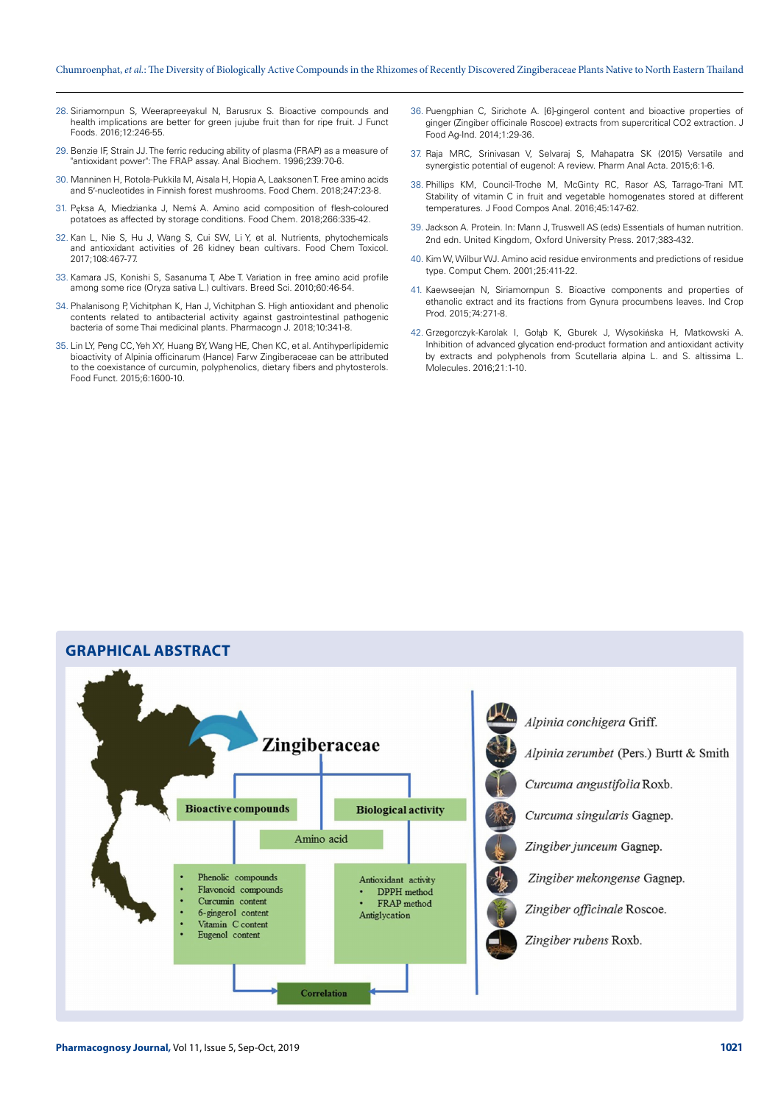#### Chumroenphat, *et al.*: The Diversity of Biologically Active Compounds in the Rhizomes of Recently Discovered Zingiberaceae Plants Native to North Eastern Thailand

- 28. Siriamornpun S, Weerapreeyakul N, Barusrux S. Bioactive compounds and health implications are better for green jujube fruit than for ripe fruit. J Funct Foods. 2016;12:246-55.
- 29. Benzie IF, Strain JJ. The ferric reducing ability of plasma (FRAP) as a measure of "antioxidant power": The FRAP assay. Anal Biochem. 1996;239:70-6.
- 30. Manninen H, Rotola-Pukkila M, Aisala H, Hopia A, Laaksonen T. Free amino acids and 5′-nucleotides in Finnish forest mushrooms. Food Chem. 2018;247:23-8.
- 31. Pęksa A, Miedzianka J, Nemś A. Amino acid composition of flesh-coloured potatoes as affected by storage conditions. Food Chem. 2018;266:335-42.
- 32. Kan L, Nie S, Hu J, Wang S, Cui SW, Li Y, et al. Nutrients, phytochemicals and antioxidant activities of 26 kidney bean cultivars. Food Chem Toxicol. 2017;108:467-77.
- 33. Kamara JS, Konishi S, Sasanuma T, Abe T. Variation in free amino acid profile among some rice (Oryza sativa L.) cultivars. Breed Sci. 2010;60:46-54.
- 34. Phalanisong P, Vichitphan K, Han J, Vichitphan S. High antioxidant and phenolic contents related to antibacterial activity against gastrointestinal pathogenic bacteria of some Thai medicinal plants. Pharmacogn J. 2018;10:341-8.
- 35. Lin LY, Peng CC, Yeh XY, Huang BY, Wang HE, Chen KC, et al. Antihyperlipidemic bioactivity of Alpinia officinarum (Hance) Farw Zingiberaceae can be attributed to the coexistance of curcumin, polyphenolics, dietary fibers and phytosterols. Food Funct. 2015;6:1600-10.
- 36. Puengphian C, Sirichote A. [6]-gingerol content and bioactive properties of ginger (Zingiber officinale Roscoe) extracts from supercritical CO2 extraction. J Food Ag-Ind. 2014;1:29-36.
- 37. Raja MRC, Srinivasan V, Selvaraj S, Mahapatra SK (2015) Versatile and synergistic potential of eugenol: A review. Pharm Anal Acta. 2015;6:1-6.
- 38. Phillips KM, Council-Troche M, McGinty RC, Rasor AS, Tarrago-Trani MT. Stability of vitamin C in fruit and vegetable homogenates stored at different temperatures. J Food Compos Anal. 2016;45:147-62.
- 39. Jackson A. Protein. In: Mann J, Truswell AS (eds) Essentials of human nutrition. 2nd edn. United Kingdom, Oxford University Press. 2017;383-432.
- 40. Kim W, Wilbur WJ. Amino acid residue environments and predictions of residue type. Comput Chem. 2001;25:411-22.
- 41. Kaewseejan N, Siriamornpun S. Bioactive components and properties of ethanolic extract and its fractions from Gynura procumbens leaves. Ind Crop Prod. 2015;74:271-8.
- 42. Grzegorczyk-Karolak I, Gołąb K, Gburek J, Wysokińska H, Matkowski A. Inhibition of advanced glycation end-product formation and antioxidant activity by extracts and polyphenols from Scutellaria alpina L. and S. altissima L. Molecules. 2016;21:1-10.

# **GRAPHICAL ABSTRACT**